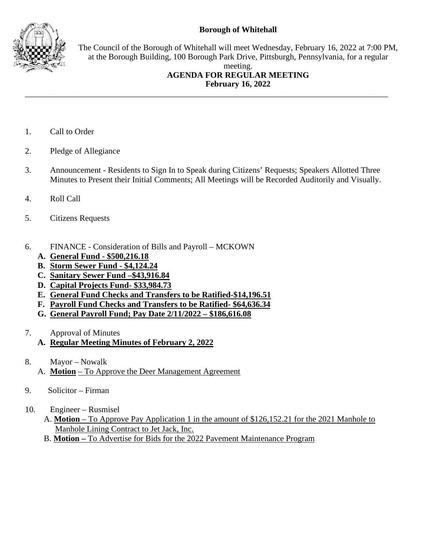## **Borough of Whitehall**



The Council of the Borough of Whitehall will meet Wednesday, February 16, 2022 at 7:00 PM, at the Borough Building, 100 Borough Park Drive, Pittsburgh, Pennsylvania, for a regular meeting.

## **AGENDA FOR REGULAR MEETING February 16, 2022**

- 1. Call to Order
- 2. Pledge of Allegiance
- 3. Announcement Residents to Sign In to Speak during Citizens' Requests; Speakers Allotted Three Minutes to Present their Initial Comments; All Meetings will be Recorded Auditorily and Visually.

\_\_\_\_\_\_\_\_\_\_\_\_\_\_\_\_\_\_\_\_\_\_\_\_\_\_\_\_\_\_\_\_\_\_\_\_\_\_\_\_\_\_\_\_\_\_\_\_\_\_\_\_\_\_\_\_\_\_\_\_\_\_\_\_\_\_\_\_\_\_\_\_\_\_\_\_\_\_\_\_\_\_\_\_\_\_\_

- 4. Roll Call
- 5. Citizens Requests
- 6. FINANCE Consideration of Bills and Payroll MCKOWN
	- **A. General Fund - \$500,216.18**
	- **B. Storm Sewer Fund - \$4,124.24**
	- **C. Sanitary Sewer Fund –\$43,916.84**
	- **D. Capital Projects Fund- \$33,984.73**
	- **E. General Fund Checks and Transfers to be Ratified-\$14,196.51**
	- **F. Payroll Fund Checks and Transfers to be Ratified- \$64,636.34**
	- **G. General Payroll Fund; Pay Date 2/11/2022 – \$186,616.08**
- 7. Approval of Minutes
	- **A. Regular Meeting Minutes of February 2, 2022**
- 8. Mayor Nowalk A. **Motion** – To Approve the Deer Management Agreement
- 9. Solicitor Firman
- 10. Engineer Rusmisel
	- A. **Motion** To Approve Pay Application 1 in the amount of \$126,152.21 for the 2021 Manhole to Manhole Lining Contract to Jet Jack, Inc.
	- B. **Motion –** To Advertise for Bids for the 2022 Pavement Maintenance Program